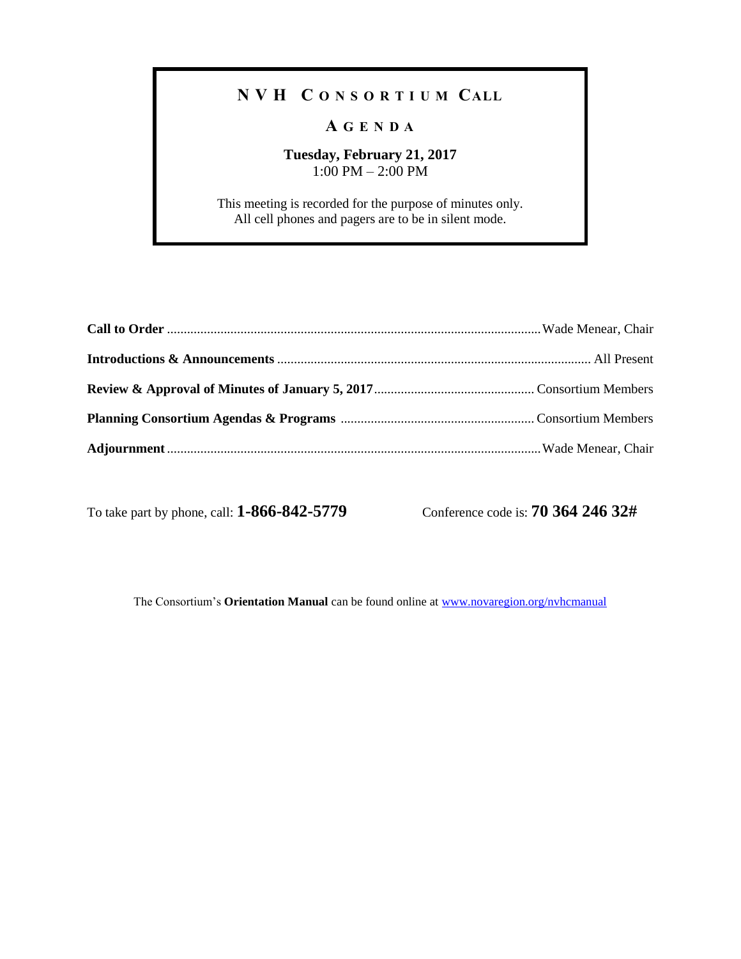## **N V H C O N S O R T I U M CALL**

## **A G E N D A**

## **Tuesday, February 21, 2017** 1:00 PM – 2:00 PM

This meeting is recorded for the purpose of minutes only. All cell phones and pagers are to be in silent mode.

To take part by phone, call: **1-866-842-5779** Conference code is: **70 364 246 32#**

The Consortium's **Orientation Manual** can be found online at [www.novaregion.org/nvhcmanual](http://www.novaregion.org/nvhcmanual)